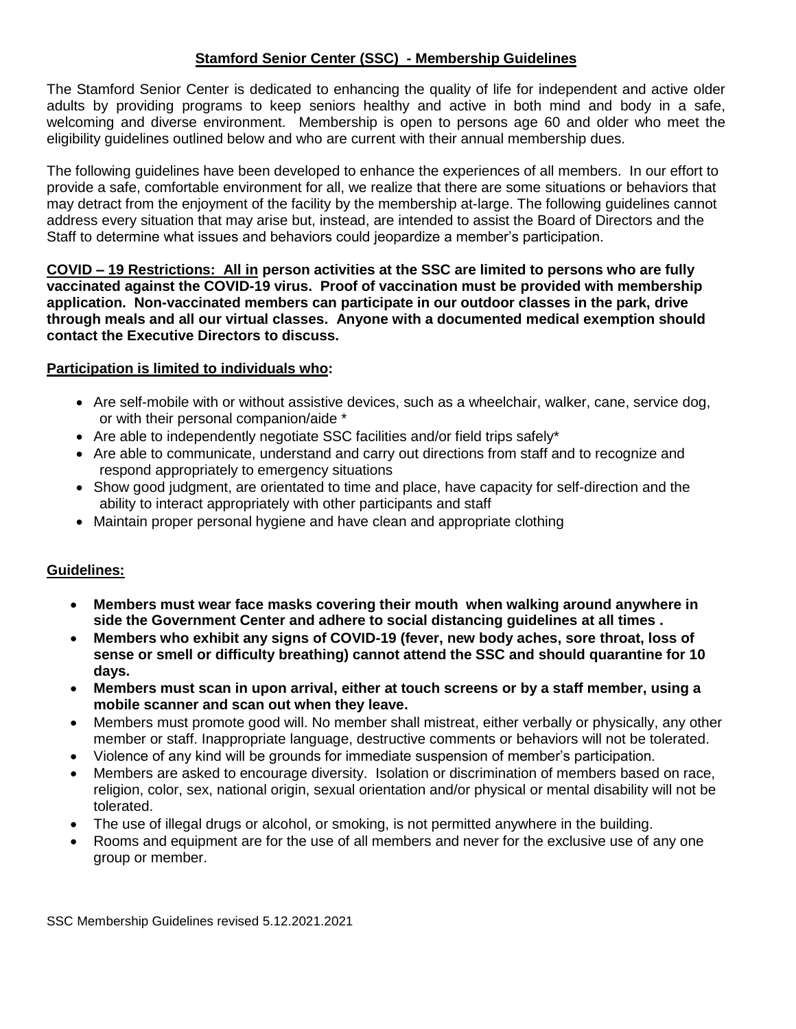## **Stamford Senior Center (SSC) - Membership Guidelines**

The Stamford Senior Center is dedicated to enhancing the quality of life for independent and active older adults by providing programs to keep seniors healthy and active in both mind and body in a safe, welcoming and diverse environment. Membership is open to persons age 60 and older who meet the eligibility guidelines outlined below and who are current with their annual membership dues.

The following guidelines have been developed to enhance the experiences of all members. In our effort to provide a safe, comfortable environment for all, we realize that there are some situations or behaviors that may detract from the enjoyment of the facility by the membership at-large. The following guidelines cannot address every situation that may arise but, instead, are intended to assist the Board of Directors and the Staff to determine what issues and behaviors could jeopardize a member's participation.

**COVID – 19 Restrictions: All in person activities at the SSC are limited to persons who are fully vaccinated against the COVID-19 virus. Proof of vaccination must be provided with membership application. Non-vaccinated members can participate in our outdoor classes in the park, drive through meals and all our virtual classes. Anyone with a documented medical exemption should contact the Executive Directors to discuss.**

## **Participation is limited to individuals who:**

- Are self-mobile with or without assistive devices, such as a wheelchair, walker, cane, service dog, or with their personal companion/aide \*
- Are able to independently negotiate SSC facilities and/or field trips safely\*
- Are able to communicate, understand and carry out directions from staff and to recognize and respond appropriately to emergency situations
- Show good judgment, are orientated to time and place, have capacity for self-direction and the ability to interact appropriately with other participants and staff
- Maintain proper personal hygiene and have clean and appropriate clothing

## **Guidelines:**

- **Members must wear face masks covering their mouth when walking around anywhere in side the Government Center and adhere to social distancing guidelines at all times .**
- **Members who exhibit any signs of COVID-19 (fever, new body aches, sore throat, loss of sense or smell or difficulty breathing) cannot attend the SSC and should quarantine for 10 days.**
- **Members must scan in upon arrival, either at touch screens or by a staff member, using a mobile scanner and scan out when they leave.**
- Members must promote good will. No member shall mistreat, either verbally or physically, any other member or staff. Inappropriate language, destructive comments or behaviors will not be tolerated.
- Violence of any kind will be grounds for immediate suspension of member's participation.
- Members are asked to encourage diversity. Isolation or discrimination of members based on race, religion, color, sex, national origin, sexual orientation and/or physical or mental disability will not be tolerated.
- The use of illegal drugs or alcohol, or smoking, is not permitted anywhere in the building.
- Rooms and equipment are for the use of all members and never for the exclusive use of any one group or member.

SSC Membership Guidelines revised 5.12.2021.2021